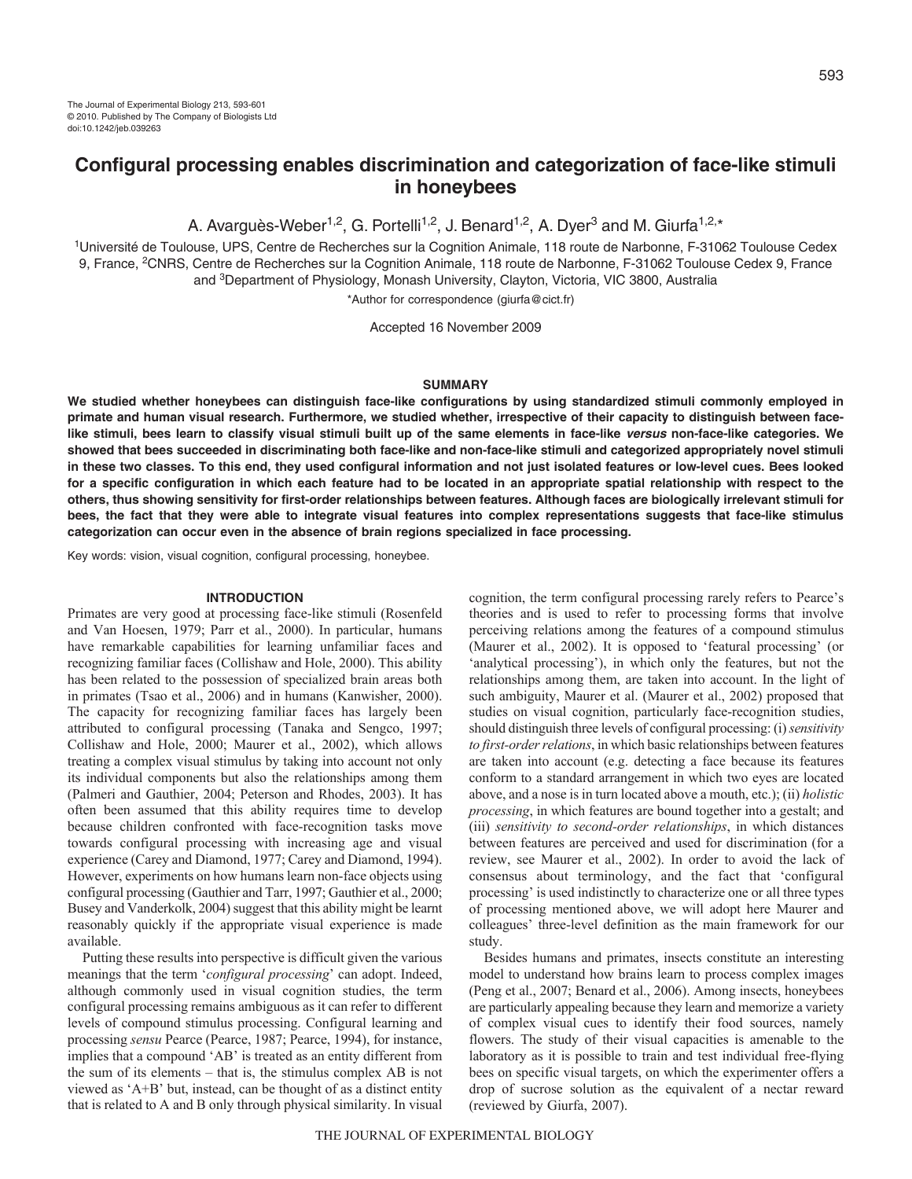593

# **Configural processing enables discrimination and categorization of face-like stimuli in honeybees**

A. Avarguès-Weber<sup>1,2</sup>, G. Portelli<sup>1,2</sup>, J. Benard<sup>1,2</sup>, A. Dyer<sup>3</sup> and M. Giurfa<sup>1,2,\*</sup>

1Université de Toulouse, UPS, Centre de Recherches sur la Cognition Animale, 118 route de Narbonne, F-31062 Toulouse Cedex 9, France, <sup>2</sup>CNRS, Centre de Recherches sur la Cognition Animale, 118 route de Narbonne, F-31062 Toulouse Cedex 9, France and 3Department of Physiology, Monash University, Clayton, Victoria, VIC 3800, Australia

\*Author for correspondence (giurfa@cict.fr)

Accepted 16 November 2009

#### **SUMMARY**

**We studied whether honeybees can distinguish face-like configurations by using standardized stimuli commonly employed in primate and human visual research. Furthermore, we studied whether, irrespective of their capacity to distinguish between facelike stimuli, bees learn to classify visual stimuli built up of the same elements in face-like versus non-face-like categories. We showed that bees succeeded in discriminating both face-like and non-face-like stimuli and categorized appropriately novel stimuli in these two classes. To this end, they used configural information and not just isolated features or low-level cues. Bees looked for a specific configuration in which each feature had to be located in an appropriate spatial relationship with respect to the others, thus showing sensitivity for first-order relationships between features. Although faces are biologically irrelevant stimuli for bees, the fact that they were able to integrate visual features into complex representations suggests that face-like stimulus categorization can occur even in the absence of brain regions specialized in face processing.**

Key words: vision, visual cognition, configural processing, honeybee.

#### **INTRODUCTION**

Primates are very good at processing face-like stimuli (Rosenfeld and Van Hoesen, 1979; Parr et al., 2000). In particular, humans have remarkable capabilities for learning unfamiliar faces and recognizing familiar faces (Collishaw and Hole, 2000). This ability has been related to the possession of specialized brain areas both in primates (Tsao et al., 2006) and in humans (Kanwisher, 2000). The capacity for recognizing familiar faces has largely been attributed to configural processing (Tanaka and Sengco, 1997; Collishaw and Hole, 2000; Maurer et al., 2002), which allows treating a complex visual stimulus by taking into account not only its individual components but also the relationships among them (Palmeri and Gauthier, 2004; Peterson and Rhodes, 2003). It has often been assumed that this ability requires time to develop because children confronted with face-recognition tasks move towards configural processing with increasing age and visual experience (Carey and Diamond, 1977; Carey and Diamond, 1994). However, experiments on how humans learn non-face objects using configural processing (Gauthier and Tarr, 1997; Gauthier et al., 2000; Busey and Vanderkolk, 2004) suggest that this ability might be learnt reasonably quickly if the appropriate visual experience is made available.

Putting these results into perspective is difficult given the various meanings that the term '*configural processing*' can adopt. Indeed, although commonly used in visual cognition studies, the term configural processing remains ambiguous as it can refer to different levels of compound stimulus processing. Configural learning and processing *sensu* Pearce (Pearce, 1987; Pearce, 1994), for instance, implies that a compound 'AB' is treated as an entity different from the sum of its elements – that is, the stimulus complex AB is not viewed as 'A+B' but, instead, can be thought of as a distinct entity that is related to A and B only through physical similarity. In visual cognition, the term configural processing rarely refers to Pearce's theories and is used to refer to processing forms that involve perceiving relations among the features of a compound stimulus (Maurer et al., 2002). It is opposed to 'featural processing' (or 'analytical processing'), in which only the features, but not the relationships among them, are taken into account. In the light of such ambiguity, Maurer et al. (Maurer et al., 2002) proposed that studies on visual cognition, particularly face-recognition studies, should distinguish three levels of configural processing: (i) *sensitivity to first-order relations*, in which basic relationships between features are taken into account (e.g. detecting a face because its features conform to a standard arrangement in which two eyes are located above, and a nose is in turn located above a mouth, etc.); (ii) *holistic processing*, in which features are bound together into a gestalt; and (iii) *sensitivity to second-order relationships*, in which distances between features are perceived and used for discrimination (for a review, see Maurer et al., 2002). In order to avoid the lack of consensus about terminology, and the fact that 'configural processing' is used indistinctly to characterize one or all three types of processing mentioned above, we will adopt here Maurer and colleagues' three-level definition as the main framework for our study.

Besides humans and primates, insects constitute an interesting model to understand how brains learn to process complex images (Peng et al., 2007; Benard et al., 2006). Among insects, honeybees are particularly appealing because they learn and memorize a variety of complex visual cues to identify their food sources, namely flowers. The study of their visual capacities is amenable to the laboratory as it is possible to train and test individual free-flying bees on specific visual targets, on which the experimenter offers a drop of sucrose solution as the equivalent of a nectar reward (reviewed by Giurfa, 2007).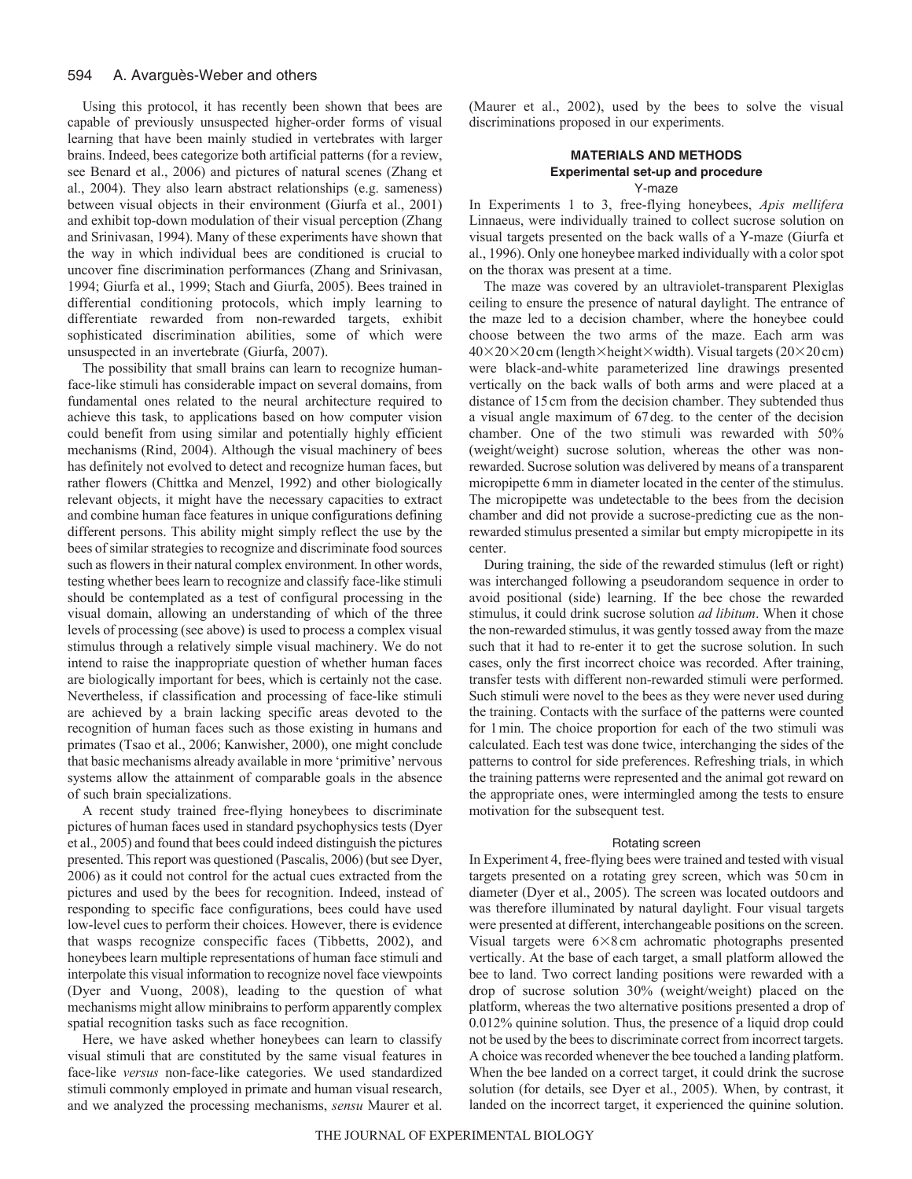Using this protocol, it has recently been shown that bees are capable of previously unsuspected higher-order forms of visual learning that have been mainly studied in vertebrates with larger brains. Indeed, bees categorize both artificial patterns (for a review, see Benard et al., 2006) and pictures of natural scenes (Zhang et al., 2004). They also learn abstract relationships (e.g. sameness) between visual objects in their environment (Giurfa et al., 2001) and exhibit top-down modulation of their visual perception (Zhang and Srinivasan, 1994). Many of these experiments have shown that the way in which individual bees are conditioned is crucial to uncover fine discrimination performances (Zhang and Srinivasan, 1994; Giurfa et al., 1999; Stach and Giurfa, 2005). Bees trained in differential conditioning protocols, which imply learning to differentiate rewarded from non-rewarded targets, exhibit sophisticated discrimination abilities, some of which were unsuspected in an invertebrate (Giurfa, 2007).

The possibility that small brains can learn to recognize humanface-like stimuli has considerable impact on several domains, from fundamental ones related to the neural architecture required to achieve this task, to applications based on how computer vision could benefit from using similar and potentially highly efficient mechanisms (Rind, 2004). Although the visual machinery of bees has definitely not evolved to detect and recognize human faces, but rather flowers (Chittka and Menzel, 1992) and other biologically relevant objects, it might have the necessary capacities to extract and combine human face features in unique configurations defining different persons. This ability might simply reflect the use by the bees of similar strategies to recognize and discriminate food sources such as flowers in their natural complex environment. In other words, testing whether bees learn to recognize and classify face-like stimuli should be contemplated as a test of configural processing in the visual domain, allowing an understanding of which of the three levels of processing (see above) is used to process a complex visual stimulus through a relatively simple visual machinery. We do not intend to raise the inappropriate question of whether human faces are biologically important for bees, which is certainly not the case. Nevertheless, if classification and processing of face-like stimuli are achieved by a brain lacking specific areas devoted to the recognition of human faces such as those existing in humans and primates (Tsao et al., 2006; Kanwisher, 2000), one might conclude that basic mechanisms already available in more 'primitive' nervous systems allow the attainment of comparable goals in the absence of such brain specializations.

A recent study trained free-flying honeybees to discriminate pictures of human faces used in standard psychophysics tests (Dyer et al., 2005) and found that bees could indeed distinguish the pictures presented. This report was questioned (Pascalis, 2006) (but see Dyer, 2006) as it could not control for the actual cues extracted from the pictures and used by the bees for recognition. Indeed, instead of responding to specific face configurations, bees could have used low-level cues to perform their choices. However, there is evidence that wasps recognize conspecific faces (Tibbetts, 2002), and honeybees learn multiple representations of human face stimuli and interpolate this visual information to recognize novel face viewpoints (Dyer and Vuong, 2008), leading to the question of what mechanisms might allow minibrains to perform apparently complex spatial recognition tasks such as face recognition.

Here, we have asked whether honeybees can learn to classify visual stimuli that are constituted by the same visual features in face-like *versus* non-face-like categories. We used standardized stimuli commonly employed in primate and human visual research, and we analyzed the processing mechanisms, *sensu* Maurer et al. (Maurer et al., 2002), used by the bees to solve the visual discriminations proposed in our experiments.

# **MATERIALS AND METHODS Experimental set-up and procedure** Y-maze

In Experiments 1 to 3, free-flying honeybees, *Apis mellifera* Linnaeus, were individually trained to collect sucrose solution on visual targets presented on the back walls of a Y-maze (Giurfa et al., 1996). Only one honeybee marked individually with a color spot on the thorax was present at a time.

The maze was covered by an ultraviolet-transparent Plexiglas ceiling to ensure the presence of natural daylight. The entrance of the maze led to a decision chamber, where the honeybee could choose between the two arms of the maze. Each arm was 40×20×20 cm (length×height×width). Visual targets (20×20 cm) were black-and-white parameterized line drawings presented vertically on the back walls of both arms and were placed at a distance of 15cm from the decision chamber. They subtended thus a visual angle maximum of 67deg. to the center of the decision chamber. One of the two stimuli was rewarded with 50% (weight/weight) sucrose solution, whereas the other was nonrewarded. Sucrose solution was delivered by means of a transparent micropipette 6mm in diameter located in the center of the stimulus. The micropipette was undetectable to the bees from the decision chamber and did not provide a sucrose-predicting cue as the nonrewarded stimulus presented a similar but empty micropipette in its center.

During training, the side of the rewarded stimulus (left or right) was interchanged following a pseudorandom sequence in order to avoid positional (side) learning. If the bee chose the rewarded stimulus, it could drink sucrose solution *ad libitum*. When it chose the non-rewarded stimulus, it was gently tossed away from the maze such that it had to re-enter it to get the sucrose solution. In such cases, only the first incorrect choice was recorded. After training, transfer tests with different non-rewarded stimuli were performed. Such stimuli were novel to the bees as they were never used during the training. Contacts with the surface of the patterns were counted for 1min. The choice proportion for each of the two stimuli was calculated. Each test was done twice, interchanging the sides of the patterns to control for side preferences. Refreshing trials, in which the training patterns were represented and the animal got reward on the appropriate ones, were intermingled among the tests to ensure motivation for the subsequent test.

#### Rotating screen

In Experiment 4, free-flying bees were trained and tested with visual targets presented on a rotating grey screen, which was 50cm in diameter (Dyer et al., 2005). The screen was located outdoors and was therefore illuminated by natural daylight. Four visual targets were presented at different, interchangeable positions on the screen. Visual targets were  $6 \times 8$  cm achromatic photographs presented vertically. At the base of each target, a small platform allowed the bee to land. Two correct landing positions were rewarded with a drop of sucrose solution 30% (weight/weight) placed on the platform, whereas the two alternative positions presented a drop of 0.012% quinine solution. Thus, the presence of a liquid drop could not be used by the bees to discriminate correct from incorrect targets. A choice was recorded whenever the bee touched a landing platform. When the bee landed on a correct target, it could drink the sucrose solution (for details, see Dyer et al., 2005). When, by contrast, it landed on the incorrect target, it experienced the quinine solution.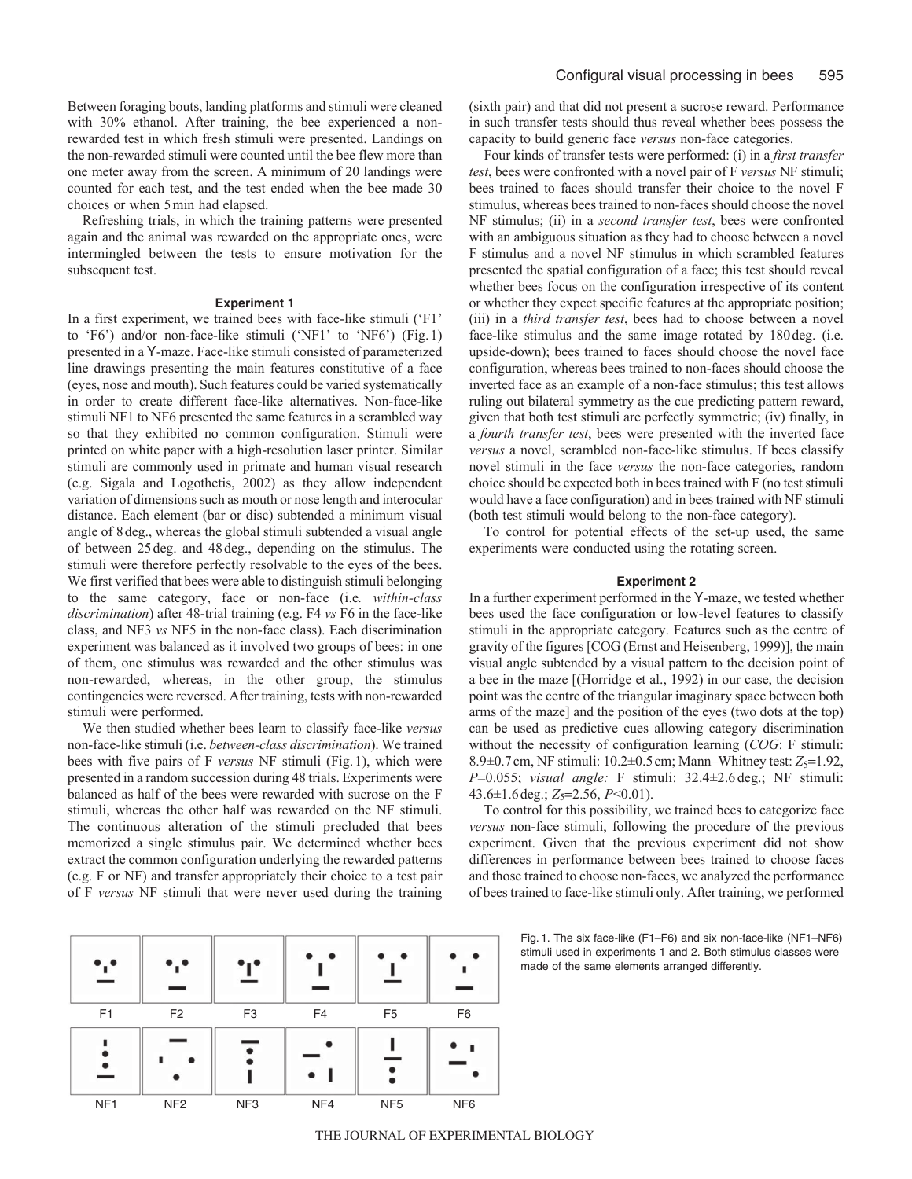Refreshing trials, in which the training patterns were presented again and the animal was rewarded on the appropriate ones, were intermingled between the tests to ensure motivation for the subsequent test.

#### **Experiment 1**

In a first experiment, we trained bees with face-like stimuli ('F1' to 'F6') and/or non-face-like stimuli ('NF1' to 'NF6') (Fig.1) presented in a Y-maze. Face-like stimuli consisted of parameterized line drawings presenting the main features constitutive of a face (eyes, nose and mouth). Such features could be varied systematically in order to create different face-like alternatives. Non-face-like stimuli NF1 to NF6 presented the same features in a scrambled way so that they exhibited no common configuration. Stimuli were printed on white paper with a high-resolution laser printer. Similar stimuli are commonly used in primate and human visual research (e.g. Sigala and Logothetis, 2002) as they allow independent variation of dimensions such as mouth or nose length and interocular distance. Each element (bar or disc) subtended a minimum visual angle of 8deg., whereas the global stimuli subtended a visual angle of between 25deg. and 48deg., depending on the stimulus. The stimuli were therefore perfectly resolvable to the eyes of the bees. We first verified that bees were able to distinguish stimuli belonging to the same category, face or non-face (i.e*. within-class discrimination*) after 48-trial training (e.g. F4 *vs* F6 in the face-like class, and NF3 *vs* NF5 in the non-face class). Each discrimination experiment was balanced as it involved two groups of bees: in one of them, one stimulus was rewarded and the other stimulus was non-rewarded, whereas, in the other group, the stimulus contingencies were reversed. After training, tests with non-rewarded stimuli were performed.

We then studied whether bees learn to classify face-like *versus* non-face-like stimuli (i.e. *between-class discrimination*). We trained bees with five pairs of F *versus* NF stimuli (Fig.1), which were presented in a random succession during 48 trials. Experiments were balanced as half of the bees were rewarded with sucrose on the F stimuli, whereas the other half was rewarded on the NF stimuli. The continuous alteration of the stimuli precluded that bees memorized a single stimulus pair. We determined whether bees extract the common configuration underlying the rewarded patterns (e.g. F or NF) and transfer appropriately their choice to a test pair of F *versus* NF stimuli that were never used during the training (sixth pair) and that did not present a sucrose reward. Performance in such transfer tests should thus reveal whether bees possess the capacity to build generic face *versus* non-face categories.

Four kinds of transfer tests were performed: (i) in a *first transfer test*, bees were confronted with a novel pair of F *versus* NF stimuli; bees trained to faces should transfer their choice to the novel F stimulus, whereas bees trained to non-faces should choose the novel NF stimulus; (ii) in a *second transfer test*, bees were confronted with an ambiguous situation as they had to choose between a novel F stimulus and a novel NF stimulus in which scrambled features presented the spatial configuration of a face; this test should reveal whether bees focus on the configuration irrespective of its content or whether they expect specific features at the appropriate position; (iii) in a *third transfer test*, bees had to choose between a novel face-like stimulus and the same image rotated by 180deg. (i.e. upside-down); bees trained to faces should choose the novel face configuration, whereas bees trained to non-faces should choose the inverted face as an example of a non-face stimulus; this test allows ruling out bilateral symmetry as the cue predicting pattern reward, given that both test stimuli are perfectly symmetric; (iv) finally, in a *fourth transfer test*, bees were presented with the inverted face *versus* a novel, scrambled non-face-like stimulus. If bees classify novel stimuli in the face *versus* the non-face categories, random choice should be expected both in bees trained with F (no test stimuli would have a face configuration) and in bees trained with NF stimuli (both test stimuli would belong to the non-face category).

To control for potential effects of the set-up used, the same experiments were conducted using the rotating screen.

#### **Experiment 2**

In a further experiment performed in the Y-maze, we tested whether bees used the face configuration or low-level features to classify stimuli in the appropriate category. Features such as the centre of gravity of the figures [COG (Ernst and Heisenberg, 1999)], the main visual angle subtended by a visual pattern to the decision point of a bee in the maze [(Horridge et al., 1992) in our case, the decision point was the centre of the triangular imaginary space between both arms of the maze] and the position of the eyes (two dots at the top) can be used as predictive cues allowing category discrimination without the necessity of configuration learning (*COG*: F stimuli: 8.9±0.7cm, NF stimuli: 10.2±0.5cm; Mann–Whitney test: *Z*<sub>5</sub>=1.92, *P*=0.055; *visual angle:* F stimuli: 32.4±2.6 deg.; NF stimuli: 43.6±1.6 deg.; *Z*<sub>5</sub>=2.56, *P*<0.01).

To control for this possibility, we trained bees to categorize face *versus* non-face stimuli, following the procedure of the previous experiment. Given that the previous experiment did not show differences in performance between bees trained to choose faces and those trained to choose non-faces, we analyzed the performance of bees trained to face-like stimuli only. After training, we performed

L L ٠ F1 F2 F3 F4 F5 F6 ı  $\ddot{\bullet}$ I ı NF1 NF2 NF3 NF4 NF5 NF6 Fig. 1. The six face-like (F1–F6) and six non-face-like (NF1–NF6) stimuli used in experiments 1 and 2. Both stimulus classes were made of the same elements arranged differently.

THE JOURNAL OF EXPERIMENTAL BIOLOGY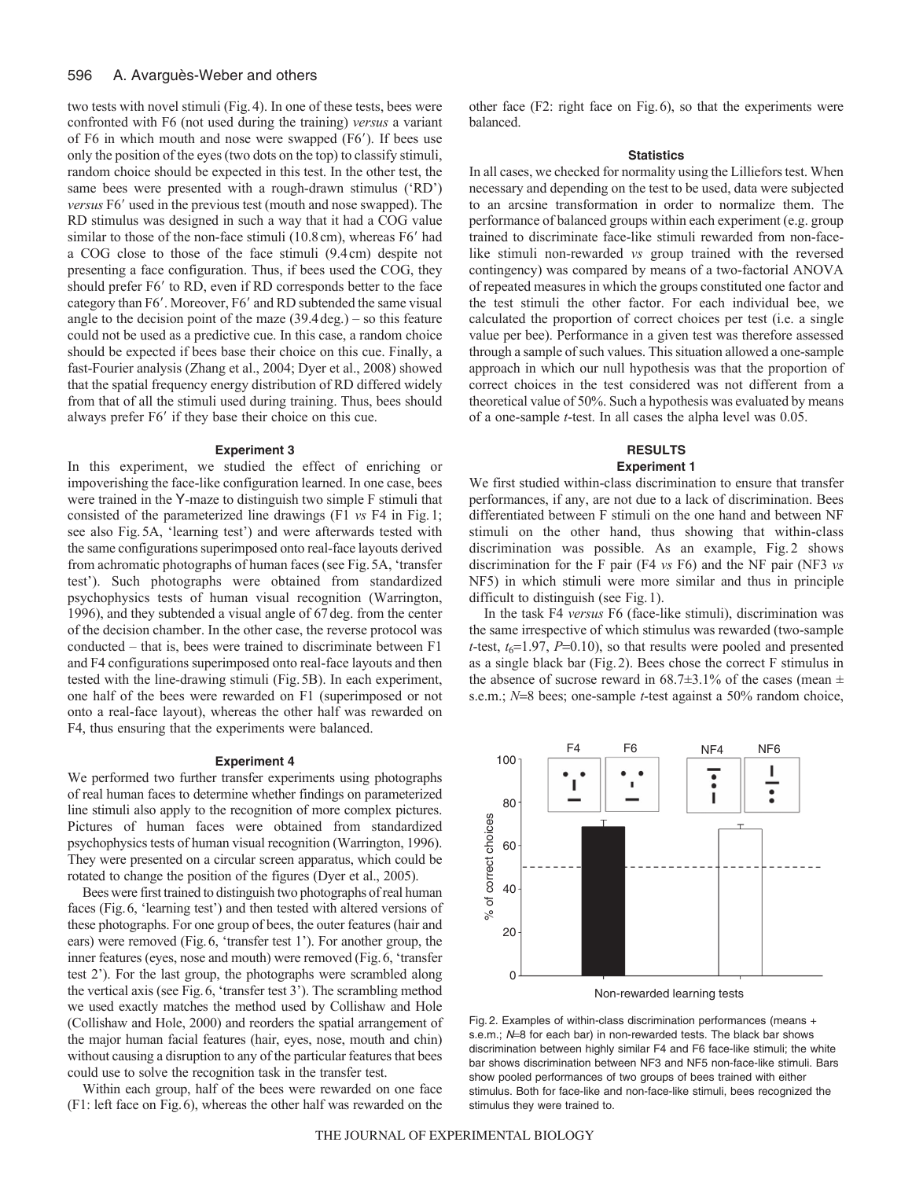#### 596 A. Avarguès-Weber and others

two tests with novel stimuli (Fig.4). In one of these tests, bees were confronted with F6 (not used during the training) *versus* a variant of F6 in which mouth and nose were swapped (F6). If bees use only the position of the eyes (two dots on the top) to classify stimuli, random choice should be expected in this test. In the other test, the same bees were presented with a rough-drawn stimulus ('RD') *versus* F6' used in the previous test (mouth and nose swapped). The RD stimulus was designed in such a way that it had a COG value similar to those of the non-face stimuli (10.8cm), whereas F6' had a COG close to those of the face stimuli (9.4cm) despite not presenting a face configuration. Thus, if bees used the COG, they should prefer F6' to RD, even if RD corresponds better to the face category than F6'. Moreover, F6' and RD subtended the same visual angle to the decision point of the maze (39.4deg.) – so this feature could not be used as a predictive cue. In this case, a random choice should be expected if bees base their choice on this cue. Finally, a fast-Fourier analysis (Zhang et al., 2004; Dyer et al., 2008) showed that the spatial frequency energy distribution of RD differed widely from that of all the stimuli used during training. Thus, bees should always prefer F6' if they base their choice on this cue.

#### **Experiment 3**

In this experiment, we studied the effect of enriching or impoverishing the face-like configuration learned. In one case, bees were trained in the Y-maze to distinguish two simple F stimuli that consisted of the parameterized line drawings (F1 *vs* F4 in Fig.1; see also Fig.5A, 'learning test') and were afterwards tested with the same configurations superimposed onto real-face layouts derived from achromatic photographs of human faces (see Fig.5A, 'transfer test'). Such photographs were obtained from standardized psychophysics tests of human visual recognition (Warrington, 1996), and they subtended a visual angle of 67deg. from the center of the decision chamber. In the other case, the reverse protocol was conducted – that is, bees were trained to discriminate between F1 and F4 configurations superimposed onto real-face layouts and then tested with the line-drawing stimuli (Fig.5B). In each experiment, one half of the bees were rewarded on F1 (superimposed or not onto a real-face layout), whereas the other half was rewarded on F4, thus ensuring that the experiments were balanced.

#### **Experiment 4**

We performed two further transfer experiments using photographs of real human faces to determine whether findings on parameterized line stimuli also apply to the recognition of more complex pictures. Pictures of human faces were obtained from standardized psychophysics tests of human visual recognition (Warrington, 1996). They were presented on a circular screen apparatus, which could be rotated to change the position of the figures (Dyer et al., 2005).

Bees were first trained to distinguish two photographs of real human faces (Fig.6, 'learning test') and then tested with altered versions of these photographs. For one group of bees, the outer features (hair and ears) were removed (Fig.6, 'transfer test 1'). For another group, the inner features (eyes, nose and mouth) were removed (Fig.6, 'transfer test 2'). For the last group, the photographs were scrambled along the vertical axis (see Fig.6, 'transfer test 3'). The scrambling method we used exactly matches the method used by Collishaw and Hole (Collishaw and Hole, 2000) and reorders the spatial arrangement of the major human facial features (hair, eyes, nose, mouth and chin) without causing a disruption to any of the particular features that bees could use to solve the recognition task in the transfer test.

Within each group, half of the bees were rewarded on one face (F1: left face on Fig.6), whereas the other half was rewarded on the other face (F2: right face on Fig.6), so that the experiments were balanced.

#### **Statistics**

In all cases, we checked for normality using the Lilliefors test. When necessary and depending on the test to be used, data were subjected to an arcsine transformation in order to normalize them. The performance of balanced groups within each experiment (e.g. group trained to discriminate face-like stimuli rewarded from non-facelike stimuli non-rewarded *vs* group trained with the reversed contingency) was compared by means of a two-factorial ANOVA of repeated measures in which the groups constituted one factor and the test stimuli the other factor. For each individual bee, we calculated the proportion of correct choices per test (i.e. a single value per bee). Performance in a given test was therefore assessed through a sample of such values. This situation allowed a one-sample approach in which our null hypothesis was that the proportion of correct choices in the test considered was not different from a theoretical value of 50%. Such a hypothesis was evaluated by means of a one-sample *t*-test. In all cases the alpha level was 0.05.

# **RESULTS**

## **Experiment 1**

We first studied within-class discrimination to ensure that transfer performances, if any, are not due to a lack of discrimination. Bees differentiated between F stimuli on the one hand and between NF stimuli on the other hand, thus showing that within-class discrimination was possible. As an example, Fig. 2 shows discrimination for the F pair (F4 *vs* F6) and the NF pair (NF3 *vs* NF5) in which stimuli were more similar and thus in principle difficult to distinguish (see Fig.1).

In the task F4 *versus* F6 (face-like stimuli), discrimination was the same irrespective of which stimulus was rewarded (two-sample *t*-test,  $t_6=1.97$ ,  $P=0.10$ ), so that results were pooled and presented as a single black bar (Fig.2). Bees chose the correct F stimulus in the absence of sucrose reward in  $68.7\pm3.1\%$  of the cases (mean  $\pm$ s.e.m.; *N*=8 bees; one-sample *t*-test against a 50% random choice,



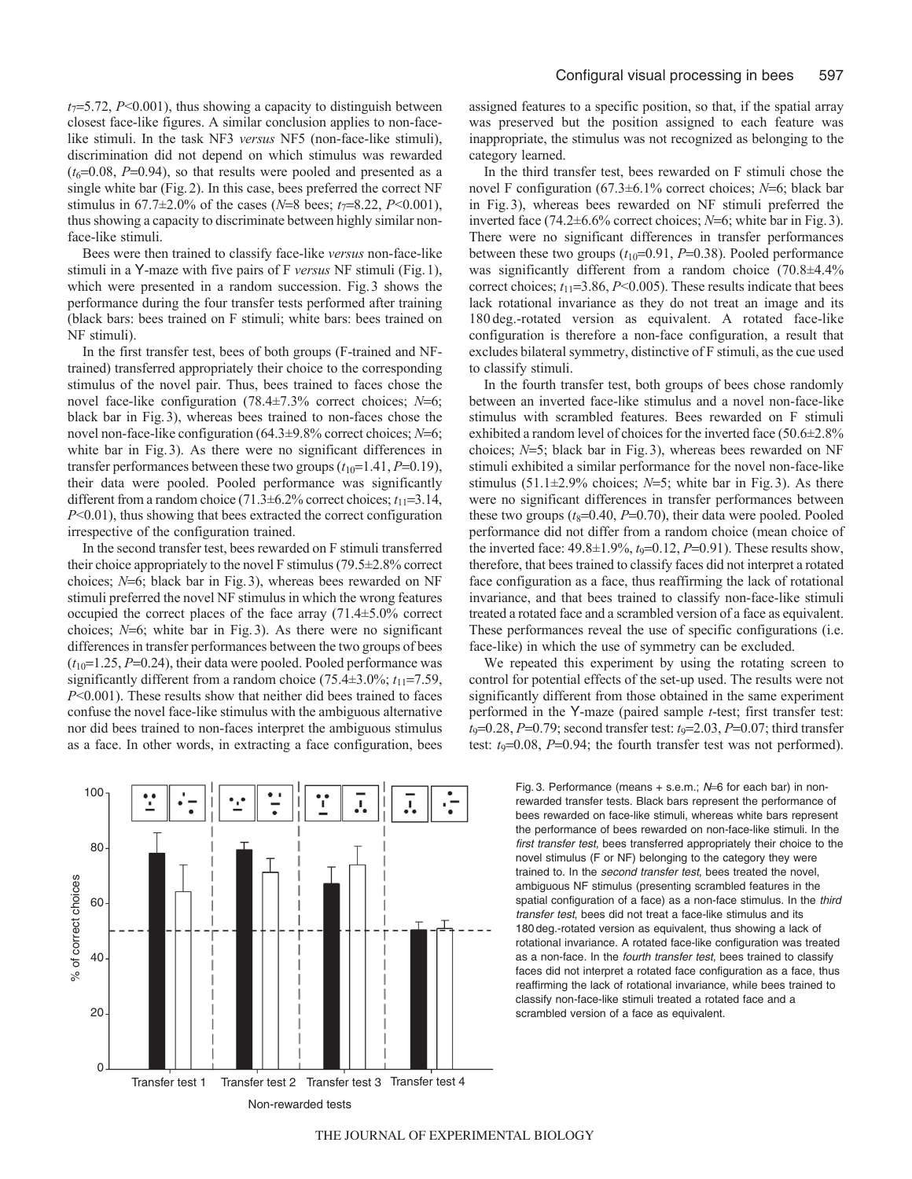$t_7 = 5.72$ , *P*<0.001), thus showing a capacity to distinguish between closest face-like figures. A similar conclusion applies to non-facelike stimuli. In the task NF3 *versus* NF5 (non-face-like stimuli), discrimination did not depend on which stimulus was rewarded  $(t_6=0.08, P=0.94)$ , so that results were pooled and presented as a single white bar (Fig.2). In this case, bees preferred the correct NF stimulus in  $67.7 \pm 2.0\%$  of the cases ( $N=8$  bees;  $t_7=8.22$ ,  $P<0.001$ ), thus showing a capacity to discriminate between highly similar nonface-like stimuli.

Bees were then trained to classify face-like *versus* non-face-like stimuli in a Y-maze with five pairs of F *versus* NF stimuli (Fig.1), which were presented in a random succession. Fig. 3 shows the performance during the four transfer tests performed after training (black bars: bees trained on F stimuli; white bars: bees trained on NF stimuli).

In the first transfer test, bees of both groups (F-trained and NFtrained) transferred appropriately their choice to the corresponding stimulus of the novel pair. Thus, bees trained to faces chose the novel face-like configuration (78.4±7.3% correct choices; *N*=6; black bar in Fig.3), whereas bees trained to non-faces chose the novel non-face-like configuration (64.3±9.8% correct choices; *N*=6; white bar in Fig.3). As there were no significant differences in transfer performances between these two groups  $(t_{10}=1.41, P=0.19)$ , their data were pooled. Pooled performance was significantly different from a random choice  $(71.3\pm6.2\%$  correct choices;  $t_{11}=3.14$ , *P*<0.01), thus showing that bees extracted the correct configuration irrespective of the configuration trained.

In the second transfer test, bees rewarded on F stimuli transferred their choice appropriately to the novel F stimulus (79.5±2.8% correct choices;  $N=6$ ; black bar in Fig. 3), whereas bees rewarded on NF stimuli preferred the novel NF stimulus in which the wrong features occupied the correct places of the face array (71.4±5.0% correct choices;  $N=6$ ; white bar in Fig. 3). As there were no significant differences in transfer performances between the two groups of bees  $(t_{10}=1.25, P=0.24)$ , their data were pooled. Pooled performance was significantly different from a random choice  $(75.4 \pm 3.0\%; t_{11} = 7.59)$ , *P*<0.001). These results show that neither did bees trained to faces confuse the novel face-like stimulus with the ambiguous alternative nor did bees trained to non-faces interpret the ambiguous stimulus as a face. In other words, in extracting a face configuration, bees



assigned features to a specific position, so that, if the spatial array was preserved but the position assigned to each feature was inappropriate, the stimulus was not recognized as belonging to the category learned.

In the third transfer test, bees rewarded on F stimuli chose the novel F configuration  $(67.3\pm6.1\%$  correct choices;  $N=6$ ; black bar in Fig.3), whereas bees rewarded on NF stimuli preferred the inverted face  $(74.2 \pm 6.6\%$  correct choices;  $N=6$ ; white bar in Fig. 3). There were no significant differences in transfer performances between these two groups  $(t_{10} = 0.91, P = 0.38)$ . Pooled performance was significantly different from a random choice (70.8±4.4%) correct choices;  $t_{11}$ =3.86, *P*<0.005). These results indicate that bees lack rotational invariance as they do not treat an image and its 180 deg.-rotated version as equivalent. A rotated face-like configuration is therefore a non-face configuration, a result that excludes bilateral symmetry, distinctive of F stimuli, as the cue used to classify stimuli.

In the fourth transfer test, both groups of bees chose randomly between an inverted face-like stimulus and a novel non-face-like stimulus with scrambled features. Bees rewarded on F stimuli exhibited a random level of choices for the inverted face (50.6±2.8% choices;  $N=5$ ; black bar in Fig. 3), whereas bees rewarded on NF stimuli exhibited a similar performance for the novel non-face-like stimulus  $(51.1 \pm 2.9\%$  choices;  $N=5$ ; white bar in Fig. 3). As there were no significant differences in transfer performances between these two groups  $(t_8=0.40, P=0.70)$ , their data were pooled. Pooled performance did not differ from a random choice (mean choice of the inverted face:  $49.8 \pm 1.9\%$ ,  $t_9 = 0.12$ ,  $P = 0.91$ ). These results show, therefore, that bees trained to classify faces did not interpret a rotated face configuration as a face, thus reaffirming the lack of rotational invariance, and that bees trained to classify non-face-like stimuli treated a rotated face and a scrambled version of a face as equivalent. These performances reveal the use of specific configurations (i.e. face-like) in which the use of symmetry can be excluded.

We repeated this experiment by using the rotating screen to control for potential effects of the set-up used. The results were not significantly different from those obtained in the same experiment performed in the Y-maze (paired sample *t*-test; first transfer test: *t*<sub>9</sub>=0.28, *P*=0.79; second transfer test: *t*<sub>9</sub>=2.03, *P*=0.07; third transfer test:  $t_9=0.08$ ,  $P=0.94$ ; the fourth transfer test was not performed).

> Fig. 3. Performance (means  $+$  s.e.m.;  $N=6$  for each bar) in nonrewarded transfer tests. Black bars represent the performance of bees rewarded on face-like stimuli, whereas white bars represent the performance of bees rewarded on non-face-like stimuli. In the first transfer test, bees transferred appropriately their choice to the novel stimulus (F or NF) belonging to the category they were trained to. In the second transfer test, bees treated the novel, ambiguous NF stimulus (presenting scrambled features in the spatial configuration of a face) as a non-face stimulus. In the third transfer test, bees did not treat a face-like stimulus and its 180 deg.-rotated version as equivalent, thus showing a lack of rotational invariance. A rotated face-like configuration was treated as a non-face. In the fourth transfer test, bees trained to classify faces did not interpret a rotated face configuration as a face, thus reaffirming the lack of rotational invariance, while bees trained to classify non-face-like stimuli treated a rotated face and a scrambled version of a face as equivalent.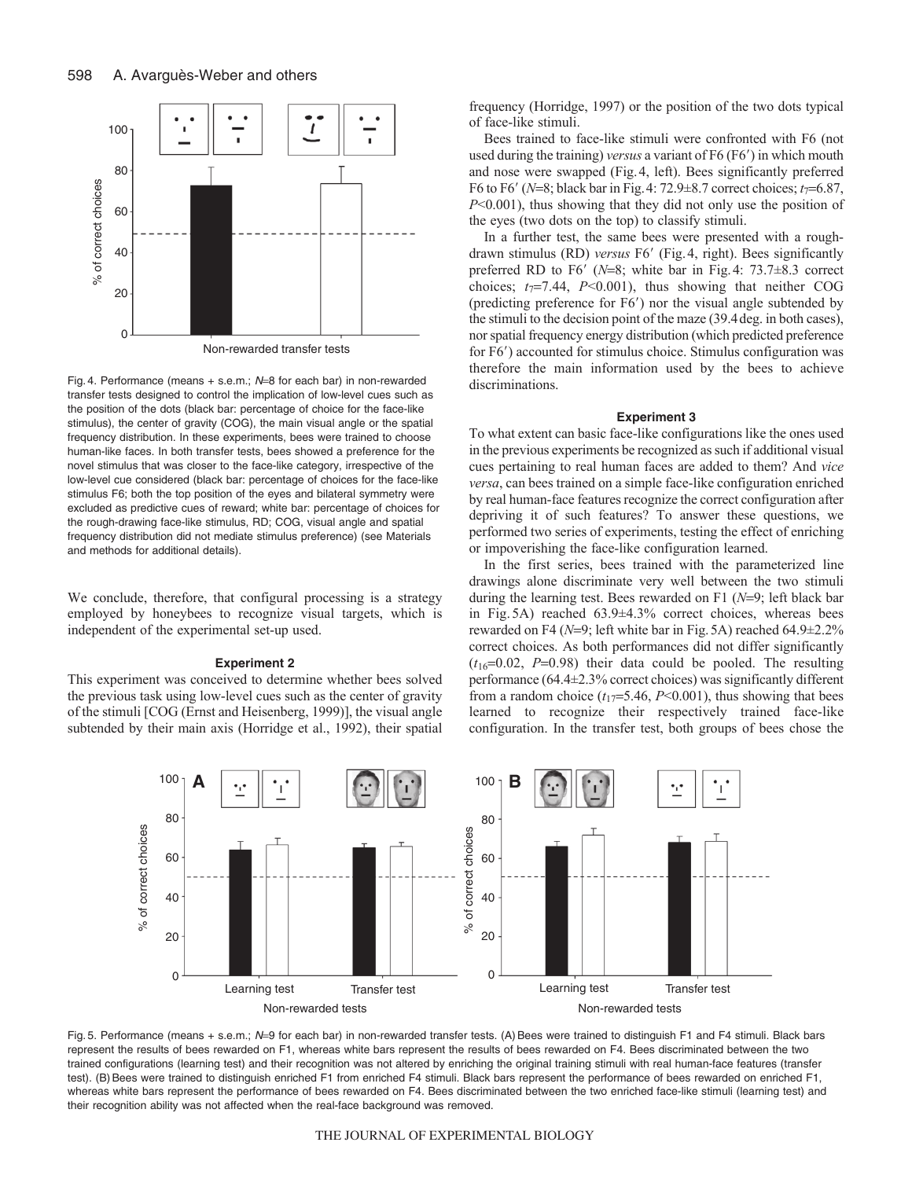

Fig. 4. Performance (means  $+$  s.e.m.;  $N=8$  for each bar) in non-rewarded transfer tests designed to control the implication of low-level cues such as the position of the dots (black bar: percentage of choice for the face-like stimulus), the center of gravity (COG), the main visual angle or the spatial frequency distribution. In these experiments, bees were trained to choose human-like faces. In both transfer tests, bees showed a preference for the novel stimulus that was closer to the face-like category, irrespective of the low-level cue considered (black bar: percentage of choices for the face-like stimulus F6; both the top position of the eyes and bilateral symmetry were excluded as predictive cues of reward; white bar: percentage of choices for the rough-drawing face-like stimulus, RD; COG, visual angle and spatial frequency distribution did not mediate stimulus preference) (see Materials and methods for additional details).

We conclude, therefore, that configural processing is a strategy employed by honeybees to recognize visual targets, which is independent of the experimental set-up used.

#### **Experiment 2**

This experiment was conceived to determine whether bees solved the previous task using low-level cues such as the center of gravity of the stimuli [COG (Ernst and Heisenberg, 1999)], the visual angle subtended by their main axis (Horridge et al., 1992), their spatial frequency (Horridge, 1997) or the position of the two dots typical of face-like stimuli.

Bees trained to face-like stimuli were confronted with F6 (not used during the training) *versus* a variant of F6 (F6) in which mouth and nose were swapped (Fig.4, left). Bees significantly preferred F6 to F6' (*N*=8; black bar in Fig. 4: 72.9±8.7 correct choices; *t*<sub>7</sub>=6.87, *P*<0.001), thus showing that they did not only use the position of the eyes (two dots on the top) to classify stimuli.

In a further test, the same bees were presented with a roughdrawn stimulus (RD) *versus* F6' (Fig. 4, right). Bees significantly preferred RD to F6'  $(N=8)$ ; white bar in Fig.4: 73.7 $\pm$ 8.3 correct choices;  $t_7=7.44$ ,  $P<0.001$ ), thus showing that neither COG (predicting preference for F6) nor the visual angle subtended by the stimuli to the decision point of the maze (39.4deg. in both cases), nor spatial frequency energy distribution (which predicted preference for F6) accounted for stimulus choice. Stimulus configuration was therefore the main information used by the bees to achieve discriminations.

#### **Experiment 3**

To what extent can basic face-like configurations like the ones used in the previous experiments be recognized as such if additional visual cues pertaining to real human faces are added to them? And *vice versa*, can bees trained on a simple face-like configuration enriched by real human-face features recognize the correct configuration after depriving it of such features? To answer these questions, we performed two series of experiments, testing the effect of enriching or impoverishing the face-like configuration learned.

In the first series, bees trained with the parameterized line drawings alone discriminate very well between the two stimuli during the learning test. Bees rewarded on F1 (*N*=9; left black bar in Fig. 5A) reached 63.9±4.3% correct choices, whereas bees rewarded on F4 (*N*=9; left white bar in Fig. 5A) reached 64.9±2.2% correct choices. As both performances did not differ significantly  $(t_{16}=0.02, P=0.98)$  their data could be pooled. The resulting performance (64.4±2.3% correct choices) was significantly different from a random choice  $(t_{17}=5.46, P<0.001)$ , thus showing that bees learned to recognize their respectively trained face-like configuration. In the transfer test, both groups of bees chose the



Fig. 5. Performance (means + s.e.m.; N=9 for each bar) in non-rewarded transfer tests. (A) Bees were trained to distinguish F1 and F4 stimuli. Black bars represent the results of bees rewarded on F1, whereas white bars represent the results of bees rewarded on F4. Bees discriminated between the two trained configurations (learning test) and their recognition was not altered by enriching the original training stimuli with real human-face features (transfer test). (B)Bees were trained to distinguish enriched F1 from enriched F4 stimuli. Black bars represent the performance of bees rewarded on enriched F1, whereas white bars represent the performance of bees rewarded on F4. Bees discriminated between the two enriched face-like stimuli (learning test) and their recognition ability was not affected when the real-face background was removed.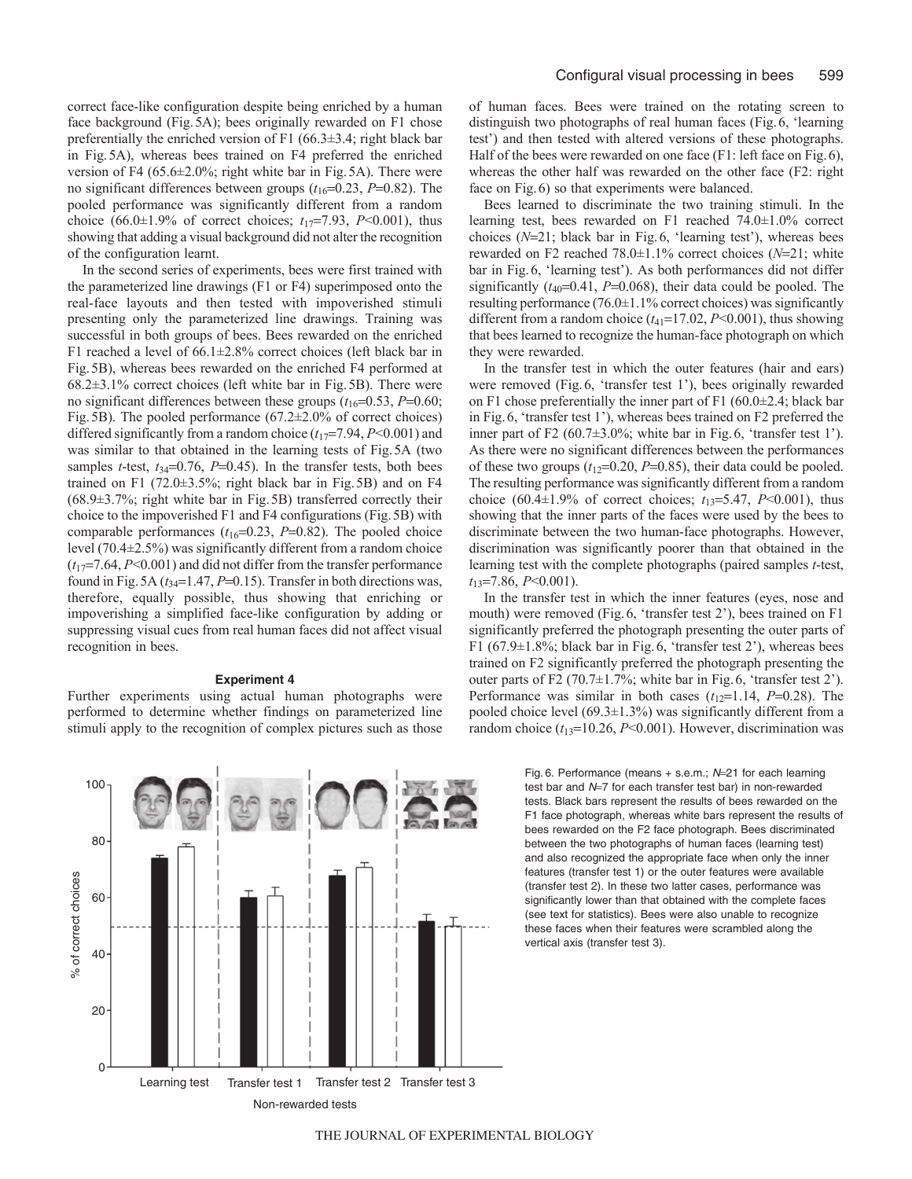correct face-like configuration despite being enriched by a human face background (Fig.5A); bees originally rewarded on F1 chose preferentially the enriched version of F1 (66.3±3.4; right black bar in Fig.5A), whereas bees trained on F4 preferred the enriched version of F4 (65.6±2.0%; right white bar in Fig.5A). There were no significant differences between groups  $(t_{16}=0.23, P=0.82)$ . The pooled performance was significantly different from a random choice (66.0 $\pm$ 1.9% of correct choices;  $t_{17}$ =7.93, *P*<0.001), thus showing that adding a visual background did not alter the recognition of the configuration learnt.

In the second series of experiments, bees were first trained with the parameterized line drawings (F1 or F4) superimposed onto the real-face layouts and then tested with impoverished stimuli presenting only the parameterized line drawings. Training was successful in both groups of bees. Bees rewarded on the enriched F1 reached a level of 66.1±2.8% correct choices (left black bar in Fig.5B), whereas bees rewarded on the enriched F4 performed at 68.2±3.1% correct choices (left white bar in Fig.5B). There were no significant differences between these groups  $(t_{16}=0.53, P=0.60;$ Fig.5B). The pooled performance (67.2±2.0% of correct choices) differed significantly from a random choice  $(t_{17}=7.94, P<0.001)$  and was similar to that obtained in the learning tests of Fig.5A (two samples *t*-test,  $t_{34}=0.76$ ,  $P=0.45$ ). In the transfer tests, both bees trained on F1  $(72.0\pm3.5\%)$ ; right black bar in Fig. 5B) and on F4 (68.9±3.7%; right white bar in Fig.5B) transferred correctly their choice to the impoverished F1 and F4 configurations (Fig.5B) with comparable performances  $(t_{16}=0.23, P=0.82)$ . The pooled choice level (70.4±2.5%) was significantly different from a random choice  $(t_{17}=7.64, P<0.001)$  and did not differ from the transfer performance found in Fig. 5A  $(t_{34}=1.47, P=0.15)$ . Transfer in both directions was, therefore, equally possible, thus showing that enriching or impoverishing a simplified face-like configuration by adding or suppressing visual cues from real human faces did not affect visual recognition in bees.

#### **Experiment 4**

Further experiments using actual human photographs were performed to determine whether findings on parameterized line stimuli apply to the recognition of complex pictures such as those of human faces. Bees were trained on the rotating screen to distinguish two photographs of real human faces (Fig.6, 'learning test') and then tested with altered versions of these photographs. Half of the bees were rewarded on one face (F1: left face on Fig. 6), whereas the other half was rewarded on the other face (F2: right face on Fig.6) so that experiments were balanced.

Bees learned to discriminate the two training stimuli. In the learning test, bees rewarded on F1 reached 74.0±1.0% correct choices ( $N=21$ ; black bar in Fig.6, 'learning test'), whereas bees rewarded on F2 reached 78.0±1.1% correct choices ( $N=21$ ; white bar in Fig.6, 'learning test'). As both performances did not differ significantly  $(t_{40} = 0.41, P = 0.068)$ , their data could be pooled. The resulting performance (76.0±1.1% correct choices) was significantly different from a random choice  $(t_{41}=17.02, P<0.001)$ , thus showing that bees learned to recognize the human-face photograph on which they were rewarded.

In the transfer test in which the outer features (hair and ears) were removed (Fig.6, 'transfer test 1'), bees originally rewarded on F1 chose preferentially the inner part of F1  $(60.0\pm 2.4)$ ; black bar in Fig.6, 'transfer test 1'), whereas bees trained on F2 preferred the inner part of F2 (60.7±3.0%; white bar in Fig.6, 'transfer test 1'). As there were no significant differences between the performances of these two groups  $(t_{12}=0.20, P=0.85)$ , their data could be pooled. The resulting performance was significantly different from a random choice (60.4 $\pm$ 1.9% of correct choices;  $t_{13}$ =5.47, *P*<0.001), thus showing that the inner parts of the faces were used by the bees to discriminate between the two human-face photographs. However, discrimination was significantly poorer than that obtained in the learning test with the complete photographs (paired samples *t*-test, *t*<sub>13</sub>=7.86, *P*<0.001).

In the transfer test in which the inner features (eyes, nose and mouth) were removed (Fig.6, 'transfer test 2'), bees trained on F1 significantly preferred the photograph presenting the outer parts of F1 (67.9±1.8%; black bar in Fig.6, 'transfer test 2'), whereas bees trained on F2 significantly preferred the photograph presenting the outer parts of F2 (70.7±1.7%; white bar in Fig.6, 'transfer test 2'). Performance was similar in both cases  $(t_{12}=1.14, P=0.28)$ . The pooled choice level (69.3±1.3%) was significantly different from a random choice  $(t_{13}=10.26, P<0.001)$ . However, discrimination was



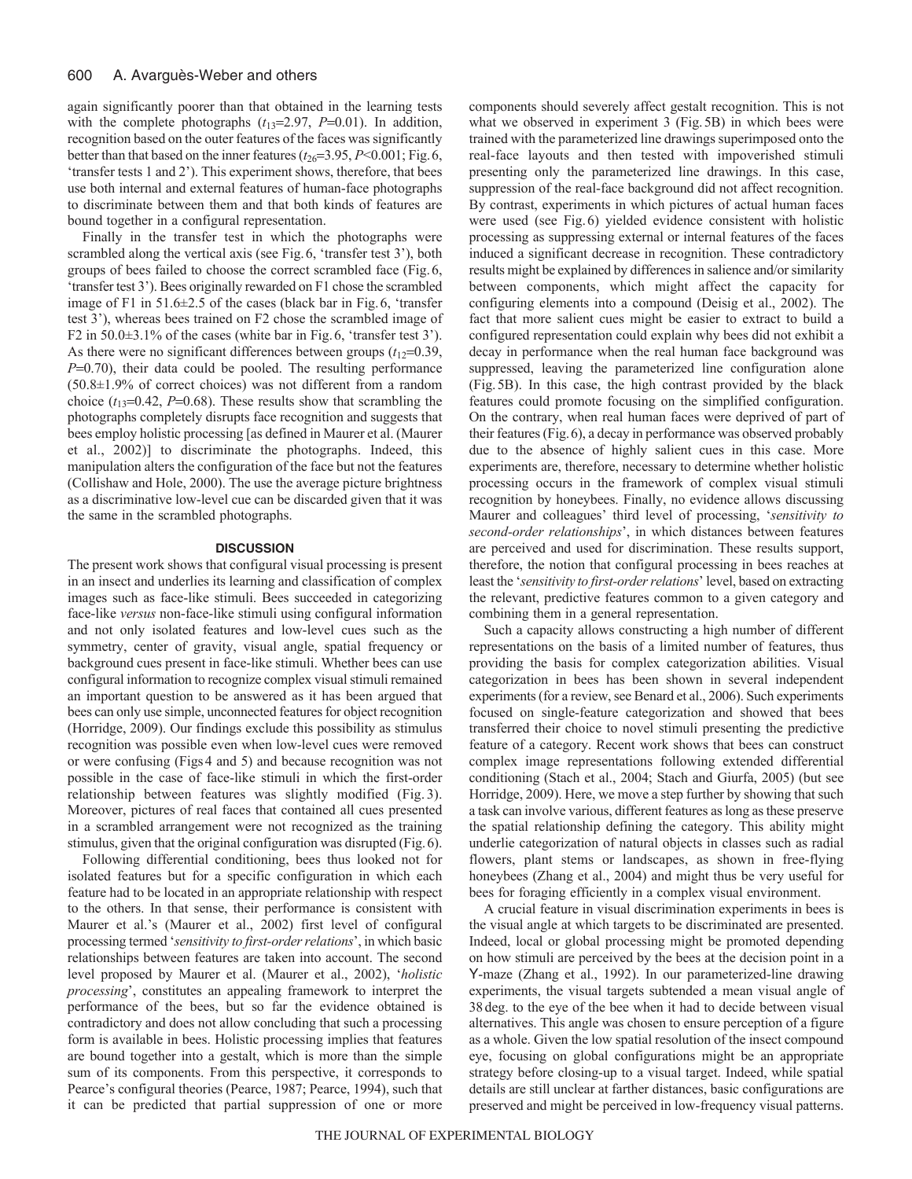again significantly poorer than that obtained in the learning tests with the complete photographs  $(t_{13}=2.97, P=0.01)$ . In addition, recognition based on the outer features of the faces was significantly better than that based on the inner features ( $t_{26}=3.95$ ,  $P<0.001$ ; Fig.6, 'transfer tests 1 and 2'). This experiment shows, therefore, that bees use both internal and external features of human-face photographs to discriminate between them and that both kinds of features are bound together in a configural representation.

Finally in the transfer test in which the photographs were scrambled along the vertical axis (see Fig.6, 'transfer test 3'), both groups of bees failed to choose the correct scrambled face (Fig.6, 'transfer test 3'). Bees originally rewarded on F1 chose the scrambled image of F1 in 51.6±2.5 of the cases (black bar in Fig.6, 'transfer test 3'), whereas bees trained on F2 chose the scrambled image of F2 in 50.0 $\pm$ 3.1% of the cases (white bar in Fig.6, 'transfer test 3'). As there were no significant differences between groups  $(t_{12}=0.39)$ , *P*=0.70), their data could be pooled. The resulting performance (50.8±1.9% of correct choices) was not different from a random choice  $(t_{13}=0.42, P=0.68)$ . These results show that scrambling the photographs completely disrupts face recognition and suggests that bees employ holistic processing [as defined in Maurer et al. (Maurer et al., 2002)] to discriminate the photographs. Indeed, this manipulation alters the configuration of the face but not the features (Collishaw and Hole, 2000). The use the average picture brightness as a discriminative low-level cue can be discarded given that it was the same in the scrambled photographs.

### **DISCUSSION**

The present work shows that configural visual processing is present in an insect and underlies its learning and classification of complex images such as face-like stimuli. Bees succeeded in categorizing face-like *versus* non-face-like stimuli using configural information and not only isolated features and low-level cues such as the symmetry, center of gravity, visual angle, spatial frequency or background cues present in face-like stimuli. Whether bees can use configural information to recognize complex visual stimuli remained an important question to be answered as it has been argued that bees can only use simple, unconnected features for object recognition (Horridge, 2009). Our findings exclude this possibility as stimulus recognition was possible even when low-level cues were removed or were confusing (Figs4 and 5) and because recognition was not possible in the case of face-like stimuli in which the first-order relationship between features was slightly modified (Fig. 3). Moreover, pictures of real faces that contained all cues presented in a scrambled arrangement were not recognized as the training stimulus, given that the original configuration was disrupted (Fig.6).

Following differential conditioning, bees thus looked not for isolated features but for a specific configuration in which each feature had to be located in an appropriate relationship with respect to the others. In that sense, their performance is consistent with Maurer et al.'s (Maurer et al., 2002) first level of configural processing termed '*sensitivity to first-order relations*', in which basic relationships between features are taken into account. The second level proposed by Maurer et al. (Maurer et al., 2002), '*holistic processing*', constitutes an appealing framework to interpret the performance of the bees, but so far the evidence obtained is contradictory and does not allow concluding that such a processing form is available in bees. Holistic processing implies that features are bound together into a gestalt, which is more than the simple sum of its components. From this perspective, it corresponds to Pearce's configural theories (Pearce, 1987; Pearce, 1994), such that it can be predicted that partial suppression of one or more

components should severely affect gestalt recognition. This is not what we observed in experiment 3 (Fig.5B) in which bees were trained with the parameterized line drawings superimposed onto the real-face layouts and then tested with impoverished stimuli presenting only the parameterized line drawings. In this case, suppression of the real-face background did not affect recognition. By contrast, experiments in which pictures of actual human faces were used (see Fig.6) yielded evidence consistent with holistic processing as suppressing external or internal features of the faces induced a significant decrease in recognition. These contradictory results might be explained by differences in salience and/or similarity between components, which might affect the capacity for configuring elements into a compound (Deisig et al., 2002). The fact that more salient cues might be easier to extract to build a configured representation could explain why bees did not exhibit a decay in performance when the real human face background was suppressed, leaving the parameterized line configuration alone (Fig.5B). In this case, the high contrast provided by the black features could promote focusing on the simplified configuration. On the contrary, when real human faces were deprived of part of their features (Fig.6), a decay in performance was observed probably due to the absence of highly salient cues in this case. More experiments are, therefore, necessary to determine whether holistic processing occurs in the framework of complex visual stimuli recognition by honeybees. Finally, no evidence allows discussing Maurer and colleagues' third level of processing, '*sensitivity to second-order relationships*', in which distances between features are perceived and used for discrimination. These results support, therefore, the notion that configural processing in bees reaches at least the '*sensitivity to first-order relations*' level, based on extracting the relevant, predictive features common to a given category and combining them in a general representation.

Such a capacity allows constructing a high number of different representations on the basis of a limited number of features, thus providing the basis for complex categorization abilities. Visual categorization in bees has been shown in several independent experiments (for a review, see Benard et al., 2006). Such experiments focused on single-feature categorization and showed that bees transferred their choice to novel stimuli presenting the predictive feature of a category. Recent work shows that bees can construct complex image representations following extended differential conditioning (Stach et al., 2004; Stach and Giurfa, 2005) (but see Horridge, 2009). Here, we move a step further by showing that such a task can involve various, different features as long as these preserve the spatial relationship defining the category. This ability might underlie categorization of natural objects in classes such as radial flowers, plant stems or landscapes, as shown in free-flying honeybees (Zhang et al., 2004) and might thus be very useful for bees for foraging efficiently in a complex visual environment.

A crucial feature in visual discrimination experiments in bees is the visual angle at which targets to be discriminated are presented. Indeed, local or global processing might be promoted depending on how stimuli are perceived by the bees at the decision point in a Y-maze (Zhang et al., 1992). In our parameterized-line drawing experiments, the visual targets subtended a mean visual angle of 38deg. to the eye of the bee when it had to decide between visual alternatives. This angle was chosen to ensure perception of a figure as a whole. Given the low spatial resolution of the insect compound eye, focusing on global configurations might be an appropriate strategy before closing-up to a visual target. Indeed, while spatial details are still unclear at farther distances, basic configurations are preserved and might be perceived in low-frequency visual patterns.